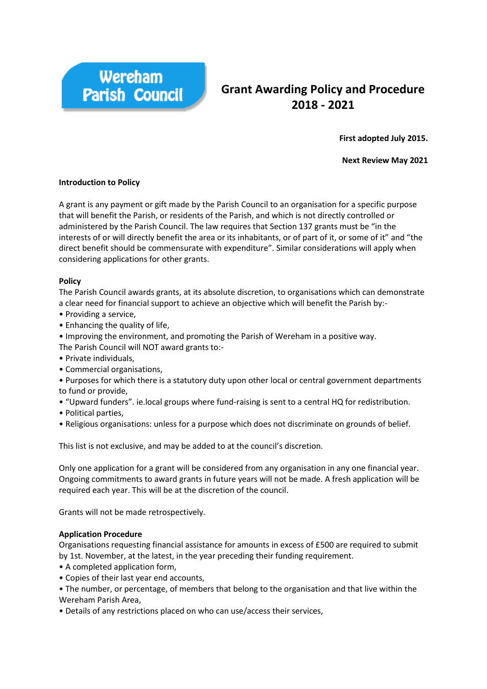

# **Grant Awarding Policy and Procedure 2018 - 2021**

**First adopted July 2015.**

**Next Review May 2021**

## **Introduction to Policy**

A grant is any payment or gift made by the Parish Council to an organisation for a specific purpose that will benefit the Parish, or residents of the Parish, and which is not directly controlled or administered by the Parish Council. The law requires that Section 137 grants must be "in the interests of or will directly benefit the area or its inhabitants, or of part of it, or some of it" and "the direct benefit should be commensurate with expenditure". Similar considerations will apply when considering applications for other grants.

## **Policy**

The Parish Council awards grants, at its absolute discretion, to organisations which can demonstrate a clear need for financial support to achieve an objective which will benefit the Parish by:-

- Providing a service,
- Enhancing the quality of life,
- Improving the environment, and promoting the Parish of Wereham in a positive way.

The Parish Council will NOT award grants to:-

- Private individuals,
- Commercial organisations,
- Purposes for which there is a statutory duty upon other local or central government departments to fund or provide,
- "Upward funders". ie.local groups where fund-raising is sent to a central HQ for redistribution.
- Political parties,
- Religious organisations: unless for a purpose which does not discriminate on grounds of belief.

This list is not exclusive, and may be added to at the council's discretion.

Only one application for a grant will be considered from any organisation in any one financial year. Ongoing commitments to award grants in future years will not be made. A fresh application will be required each year. This will be at the discretion of the council.

Grants will not be made retrospectively.

#### **Application Procedure**

Organisations requesting financial assistance for amounts in excess of £500 are required to submit by 1st. November, at the latest, in the year preceding their funding requirement.

- A completed application form,
- Copies of their last year end accounts,
- The number, or percentage, of members that belong to the organisation and that live within the Wereham Parish Area,
- Details of any restrictions placed on who can use/access their services,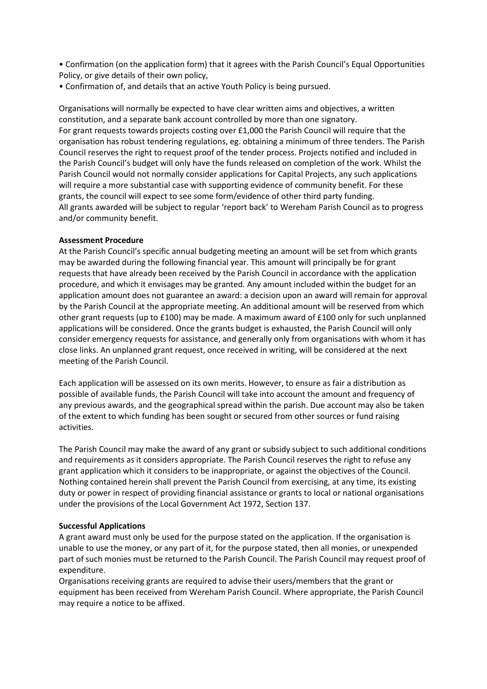• Confirmation (on the application form) that it agrees with the Parish Council's Equal Opportunities Policy, or give details of their own policy,

• Confirmation of, and details that an active Youth Policy is being pursued.

Organisations will normally be expected to have clear written aims and objectives, a written constitution, and a separate bank account controlled by more than one signatory. For grant requests towards projects costing over £1,000 the Parish Council will require that the organisation has robust tendering regulations, eg. obtaining a minimum of three tenders. The Parish Council reserves the right to request proof of the tender process. Projects notified and included in the Parish Council's budget will only have the funds released on completion of the work. Whilst the Parish Council would not normally consider applications for Capital Projects, any such applications will require a more substantial case with supporting evidence of community benefit. For these grants, the council will expect to see some form/evidence of other third party funding. All grants awarded will be subject to regular 'report back' to Wereham Parish Council as to progress and/or community benefit.

## **Assessment Procedure**

At the Parish Council's specific annual budgeting meeting an amount will be set from which grants may be awarded during the following financial year. This amount will principally be for grant requests that have already been received by the Parish Council in accordance with the application procedure, and which it envisages may be granted. Any amount included within the budget for an application amount does not guarantee an award: a decision upon an award will remain for approval by the Parish Council at the appropriate meeting. An additional amount will be reserved from which other grant requests (up to £100) may be made. A maximum award of £100 only for such unplanned applications will be considered. Once the grants budget is exhausted, the Parish Council will only consider emergency requests for assistance, and generally only from organisations with whom it has close links. An unplanned grant request, once received in writing, will be considered at the next meeting of the Parish Council.

Each application will be assessed on its own merits. However, to ensure as fair a distribution as possible of available funds, the Parish Council will take into account the amount and frequency of any previous awards, and the geographical spread within the parish. Due account may also be taken of the extent to which funding has been sought or secured from other sources or fund raising activities.

The Parish Council may make the award of any grant or subsidy subject to such additional conditions and requirements as it considers appropriate. The Parish Council reserves the right to refuse any grant application which it considers to be inappropriate, or against the objectives of the Council. Nothing contained herein shall prevent the Parish Council from exercising, at any time, its existing duty or power in respect of providing financial assistance or grants to local or national organisations under the provisions of the Local Government Act 1972, Section 137.

#### **Successful Applications**

A grant award must only be used for the purpose stated on the application. If the organisation is unable to use the money, or any part of it, for the purpose stated, then all monies, or unexpended part of such monies must be returned to the Parish Council. The Parish Council may request proof of expenditure.

Organisations receiving grants are required to advise their users/members that the grant or equipment has been received from Wereham Parish Council. Where appropriate, the Parish Council may require a notice to be affixed.